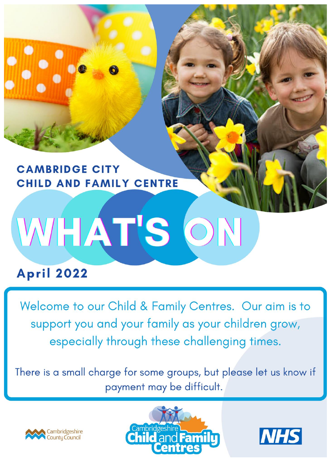

## **CAMBRIDGE CITY** CHILD AND FAMILY CENTRE

# WHAT'S ON

# **April 2022**

Welcome to our Child & Family Centres. Our aim is to support you and your family as your children grow, especially through these challenging times.

There is a small charge for some groups, but please let us know if payment may be difficult.





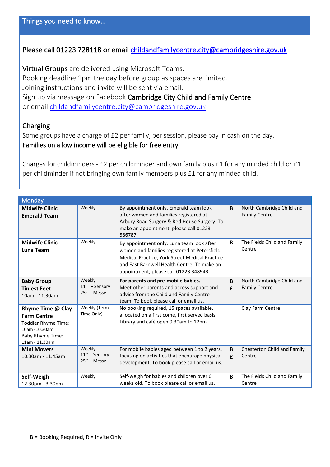### Please call 01223 728118 or email [childandfamilycentre.city@cambridgeshire.gov.uk](mailto:childandfamilycentre.city@cambridgeshire.gov.uk)

Virtual Groups are delivered using Microsoft Teams. Booking deadline 1pm the day before group as spaces are limited. Joining instructions and invite will be sent via email. Sign up via message on Facebook Cambridge City Child and Family Centre or email [childandfamilycentre.city@cambridgeshire.gov.uk](mailto:childandfamilycentre.city@cambridgeshire.gov.uk)

### Charging

Some groups have a charge of £2 per family, per session, please pay in cash on the day. Families on a low income will be eligible for free entry.

Charges for childminders - £2 per childminder and own family plus £1 for any minded child or £1 per childminder if not bringing own family members plus £1 for any minded child.

| Monday                                                                                                                       |                                              |                                                                                                                                                                                                                                      |                   |                                                   |
|------------------------------------------------------------------------------------------------------------------------------|----------------------------------------------|--------------------------------------------------------------------------------------------------------------------------------------------------------------------------------------------------------------------------------------|-------------------|---------------------------------------------------|
| <b>Midwife Clinic</b><br><b>Emerald Team</b>                                                                                 | Weekly                                       | By appointment only. Emerald team look<br>after women and families registered at<br>Arbury Road Surgery & Red House Surgery. To<br>make an appointment, please call 01223<br>586787.                                                 | B                 | North Cambridge Child and<br><b>Family Centre</b> |
| <b>Midwife Clinic</b><br>Luna Team                                                                                           | Weekly                                       | By appointment only. Luna team look after<br>women and families registered at Petersfield<br>Medical Practice, York Street Medical Practice<br>and East Barnwell Health Centre. To make an<br>appointment, please call 01223 348943. | <sub>B</sub>      | The Fields Child and Family<br>Centre             |
| <b>Baby Group</b><br><b>Tiniest Feet</b><br>10am - 11.30am                                                                   | Weekly<br>$11th$ – Sensory<br>$25th$ – Messy | For parents and pre-mobile babies.<br>Meet other parents and access support and<br>advice from the Child and Family Centre<br>team. To book please call or email us.                                                                 | B<br>£            | North Cambridge Child and<br><b>Family Centre</b> |
| Rhyme Time @ Clay<br><b>Farm Centre</b><br>Toddler Rhyme Time:<br>10am -10.30am<br><b>Baby Rhyme Time:</b><br>11am - 11.30am | Weekly (Term<br>Time Only)                   | No booking required, 15 spaces available,<br>allocated on a first come, first served basis.<br>Library and café open 9.30am to 12pm.                                                                                                 |                   | Clay Farm Centre                                  |
| <b>Mini Movers</b><br>10.30am - 11.45am                                                                                      | Weekly<br>$11th$ – Sensory<br>$25th$ – Messy | For mobile babies aged between 1 to 2 years,<br>focusing on activities that encourage physical<br>development. To book please call or email us.                                                                                      | <sub>B</sub><br>£ | Chesterton Child and Family<br>Centre             |
| Self-Weigh<br>12.30pm - 3.30pm                                                                                               | Weekly                                       | Self-weigh for babies and children over 6<br>weeks old. To book please call or email us.                                                                                                                                             | B                 | The Fields Child and Family<br>Centre             |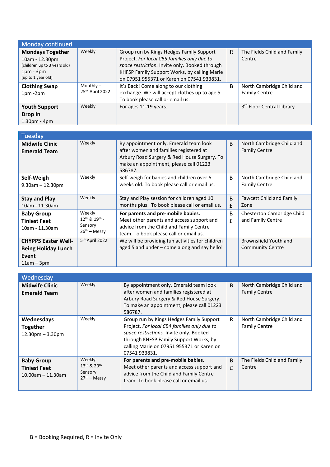| Monday continued                                                                                               |                                |                                                                                                                                                                                                                                        |   |                                                   |
|----------------------------------------------------------------------------------------------------------------|--------------------------------|----------------------------------------------------------------------------------------------------------------------------------------------------------------------------------------------------------------------------------------|---|---------------------------------------------------|
| <b>Mondays Together</b><br>10am - 12.30pm<br>(children up to 3 years old)<br>$1pm - 3pm$<br>(up to 1 year old) | Weekly                         | Group run by Kings Hedges Family Support<br>Project. For local CB5 families only due to<br>space restriction. Invite only. Booked through<br>KHFSP Family Support Works, by calling Marie<br>on 07951 955371 or Karen on 07541 933831. | R | The Fields Child and Family<br>Centre             |
| <b>Clothing Swap</b><br>$1pm - 2pm$                                                                            | Monthly $-$<br>25th April 2022 | It's Back! Come along to our clothing<br>exchange. We will accept clothes up to age 5.<br>To book please call or email us.                                                                                                             | B | North Cambridge Child and<br><b>Family Centre</b> |
| <b>Youth Support</b><br>Drop In<br>$1.30pm - 4pm$                                                              | Weekly                         | For ages 11-19 years.                                                                                                                                                                                                                  |   | 3rd Floor Central Library                         |

| Tuesday                                                                           |                                                                              |                                                                                                                                                                                      |              |                                                   |
|-----------------------------------------------------------------------------------|------------------------------------------------------------------------------|--------------------------------------------------------------------------------------------------------------------------------------------------------------------------------------|--------------|---------------------------------------------------|
| <b>Midwife Clinic</b><br><b>Emerald Team</b>                                      | Weekly                                                                       | By appointment only. Emerald team look<br>after women and families registered at<br>Arbury Road Surgery & Red House Surgery. To<br>make an appointment, please call 01223<br>586787. | <sub>B</sub> | North Cambridge Child and<br><b>Family Centre</b> |
| Self-Weigh<br>$9.30$ am $- 12.30$ pm                                              | Weekly                                                                       | Self-weigh for babies and children over 6<br>weeks old. To book please call or email us.                                                                                             | B            | North Cambridge Child and<br><b>Family Centre</b> |
| <b>Stay and Play</b><br>10am - 11.30am                                            | Weekly                                                                       | Stay and Play session for children aged 10<br>months plus. To book please call or email us.                                                                                          | B<br>£       | <b>Fawcett Child and Family</b><br>Zone           |
| <b>Baby Group</b><br><b>Tiniest Feet</b><br>10am - 11.30am                        | Weekly<br>12 <sup>th</sup> & 19 <sup>th</sup> -<br>Sensory<br>$26th$ – Messy | For parents and pre-mobile babies.<br>Meet other parents and access support and<br>advice from the Child and Family Centre<br>team. To book please call or email us.                 | B<br>£       | Chesterton Cambridge Child<br>and Family Centre   |
| <b>CHYPPS Easter Well-</b><br><b>Being Holiday Lunch</b><br>Event<br>$11am - 3pm$ | 5 <sup>th</sup> April 2022                                                   | We will be providing fun activities for children<br>aged 5 and under - come along and say hello!                                                                                     |              | Brownsfield Youth and<br><b>Community Centre</b>  |

| Wednesday                                                        |                                                                            |                                                                                                                                                                                                                                            |        |                                                   |
|------------------------------------------------------------------|----------------------------------------------------------------------------|--------------------------------------------------------------------------------------------------------------------------------------------------------------------------------------------------------------------------------------------|--------|---------------------------------------------------|
| <b>Midwife Clinic</b><br><b>Emerald Team</b>                     | Weekly                                                                     | By appointment only. Emerald team look<br>after women and families registered at<br>Arbury Road Surgery & Red House Surgery.<br>To make an appointment, please call 01223<br>586787.                                                       | B      | North Cambridge Child and<br><b>Family Centre</b> |
| Wednesdays<br><b>Together</b><br>$12.30pm - 3.30pm$              | Weekly                                                                     | Group run by Kings Hedges Family Support<br>Project. For local CB4 families only due to<br>space restrictions. Invite only. Booked<br>through KHFSP Family Support Works, by<br>calling Marie on 07951 955371 or Karen on<br>07541 933831. | R      | North Cambridge Child and<br><b>Family Centre</b> |
| <b>Baby Group</b><br><b>Tiniest Feet</b><br>$10.00$ am - 11.30am | Weekly<br>13 <sup>th</sup> & 20 <sup>th</sup><br>Sensory<br>$27th$ – Messv | For parents and pre-mobile babies.<br>Meet other parents and access support and<br>advice from the Child and Family Centre<br>team. To book please call or email us.                                                                       | B<br>£ | The Fields Child and Family<br>Centre             |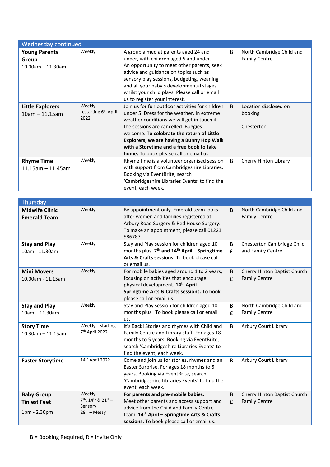| Wednesday continued                                   |                                                        |                                                                                                                                                                                                                                                                                                                                                                     |   |                                                   |
|-------------------------------------------------------|--------------------------------------------------------|---------------------------------------------------------------------------------------------------------------------------------------------------------------------------------------------------------------------------------------------------------------------------------------------------------------------------------------------------------------------|---|---------------------------------------------------|
| <b>Young Parents</b><br>Group<br>$10.00$ am - 11.30am | Weekly                                                 | A group aimed at parents aged 24 and<br>under, with children aged 5 and under.<br>An opportunity to meet other parents, seek<br>advice and guidance on topics such as<br>sensory play sessions, budgeting, weaning<br>and all your baby's developmental stages<br>whilst your child plays. Please call or email<br>us to register your interest.                    | B | North Cambridge Child and<br><b>Family Centre</b> |
| <b>Little Explorers</b><br>$10am - 11.15am$           | Weekly $-$<br>restarting 6 <sup>th</sup> April<br>2022 | Join us for fun outdoor activities for children<br>under 5. Dress for the weather. In extreme<br>weather conditions we will get in touch if<br>the sessions are cancelled. Buggies<br>welcome. To celebrate the return of Little<br>Explorers, we are having a Bunny Hop Walk<br>with a Storytime and a free book to take<br>home. To book please call or email us. | B | Location disclosed on<br>booking<br>Chesterton    |
| <b>Rhyme Time</b><br>$11.15$ am $-11.45$ am           | Weekly                                                 | Rhyme time is a volunteer organised session<br>with support from Cambridgeshire Libraries.<br>Booking via EventBrite, search<br>'Cambridgeshire Libraries Events' to find the<br>event, each week.                                                                                                                                                                  | B | Cherry Hinton Library                             |

| Thursday                                                 |                                                                                    |                                                                                                                                                                                                                         |                         |                                                      |
|----------------------------------------------------------|------------------------------------------------------------------------------------|-------------------------------------------------------------------------------------------------------------------------------------------------------------------------------------------------------------------------|-------------------------|------------------------------------------------------|
| <b>Midwife Clinic</b><br><b>Emerald Team</b>             | Weekly                                                                             | By appointment only. Emerald team looks<br>after women and families registered at<br>Arbury Road Surgery & Red House Surgery.<br>To make an appointment, please call 01223<br>586787.                                   | B                       | North Cambridge Child and<br><b>Family Centre</b>    |
| <b>Stay and Play</b><br>10am - 11.30am                   | Weekly                                                                             | Stay and Play session for children aged 10<br>months plus. 7 <sup>th</sup> and 14 <sup>th</sup> April - Springtime<br>Arts & Crafts sessions. To book please call<br>or email us.                                       | B<br>£                  | Chesterton Cambridge Child<br>and Family Centre      |
| <b>Mini Movers</b><br>10.00am - 11.15am                  | Weekly                                                                             | For mobile babies aged around 1 to 2 years,<br>focusing on activities that encourage<br>physical development. 14 <sup>th</sup> April -<br>Springtime Arts & Crafts sessions. To book<br>please call or email us.        | B<br>£                  | Cherry Hinton Baptist Church<br><b>Family Centre</b> |
| <b>Stay and Play</b><br>$10am - 11.30am$                 | Weekly                                                                             | Stay and Play session for children aged 10<br>months plus. To book please call or email<br>us.                                                                                                                          | B<br>£                  | North Cambridge Child and<br><b>Family Centre</b>    |
| <b>Story Time</b><br>$10.30$ am - 11.15am                | Weekly - starting<br>7 <sup>th</sup> April 2022                                    | It's Back! Stories and rhymes with Child and<br>Family Centre and Library staff. For ages 18<br>months to 5 years. Booking via EventBrite,<br>search 'Cambridgeshire Libraries Events' to<br>find the event, each week. | B                       | <b>Arbury Court Library</b>                          |
| <b>Easter Storytime</b>                                  | 14th April 2022                                                                    | Come and join us for stories, rhymes and an<br>Easter Surprise. For ages 18 months to 5<br>years. Booking via EventBrite, search<br>'Cambridgeshire Libraries Events' to find the<br>event, each week.                  | B                       | Arbury Court Library                                 |
| <b>Baby Group</b><br><b>Tiniest Feet</b><br>1pm - 2.30pm | Weekly<br>7 <sup>th</sup> , 14 <sup>th</sup> & 21st -<br>Sensory<br>$28th$ – Messy | For parents and pre-mobile babies.<br>Meet other parents and access support and<br>advice from the Child and Family Centre<br>team. 14th April - Springtime Arts & Crafts<br>sessions. To book please call or email us. | B<br>$\pmb{\mathsf{f}}$ | Cherry Hinton Baptist Church<br><b>Family Centre</b> |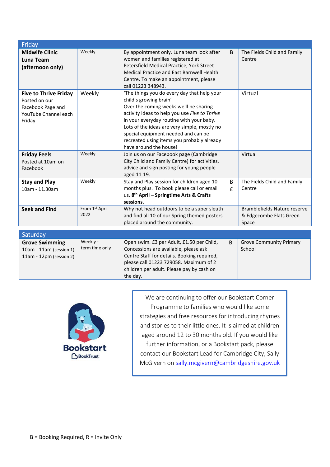| Friday                                                                                               |                            |                                                                                                                                                                                                                                                                                                                                                                             |        |                                                                  |
|------------------------------------------------------------------------------------------------------|----------------------------|-----------------------------------------------------------------------------------------------------------------------------------------------------------------------------------------------------------------------------------------------------------------------------------------------------------------------------------------------------------------------------|--------|------------------------------------------------------------------|
| <b>Midwife Clinic</b><br>Luna Team<br>(afternoon only)                                               | Weekly                     | By appointment only. Luna team look after<br>women and families registered at<br>Petersfield Medical Practice, York Street<br>Medical Practice and East Barnwell Health<br>Centre. To make an appointment, please<br>call 01223 348943.                                                                                                                                     | B      | The Fields Child and Family<br>Centre                            |
| <b>Five to Thrive Friday</b><br>Posted on our<br>Facebook Page and<br>YouTube Channel each<br>Friday | Weekly                     | 'The things you do every day that help your<br>child's growing brain'<br>Over the coming weeks we'll be sharing<br>activity ideas to help you use Five to Thrive<br>in your everyday routine with your baby.<br>Lots of the ideas are very simple, mostly no<br>special equipment needed and can be<br>recreated using items you probably already<br>have around the house! |        | Virtual                                                          |
| <b>Friday Feels</b><br>Posted at 10am on<br>Facebook                                                 | Weekly                     | Join us on our Facebook page (Cambridge<br>City Child and Family Centre) for activities,<br>advice and sign posting for young people<br>aged 11-19.                                                                                                                                                                                                                         |        | Virtual                                                          |
| <b>Stay and Play</b><br>10am - 11.30am                                                               | Weekly                     | Stay and Play session for children aged 10<br>months plus. To book please call or email<br>us. 8 <sup>th</sup> April - Springtime Arts & Crafts<br>sessions.                                                                                                                                                                                                                | B<br>£ | The Fields Child and Family<br>Centre                            |
| <b>Seek and Find</b>                                                                                 | From 1st April<br>2022     | Why not head outdoors to be a super sleuth<br>and find all 10 of our Spring themed posters<br>placed around the community.                                                                                                                                                                                                                                                  |        | Bramblefields Nature reserve<br>& Edgecombe Flats Green<br>Space |
| Saturday                                                                                             |                            |                                                                                                                                                                                                                                                                                                                                                                             |        |                                                                  |
| <b>Grove Swimming</b><br>10am - 11am (session 1)                                                     | Weekly -<br>term time only | Open swim. £3 per Adult, £1.50 per Child,<br>Concessions are available, please ask                                                                                                                                                                                                                                                                                          | B      | <b>Grove Community Primary</b><br>School                         |

| $11am - 12pm$ (session 2) | Centre Staff for details. Booking required,<br>please call 01223 729058. Maximum of 2<br>children per adult. Please pay by cash on<br>the day. |
|---------------------------|------------------------------------------------------------------------------------------------------------------------------------------------|
|                           | We are continuing to offer o                                                                                                                   |
|                           |                                                                                                                                                |



ur Bookstart Corner Programme to families who would like some strategies and free resources for introducing rhymes and stories to their little ones. It is aimed at children aged around 12 to 30 months old. If you would like further information, or a Bookstart pack, please contact our Bookstart Lead for Cambridge City, Sally McGivern on [sally.mcgivern@cambridgeshire.gov.uk](mailto:sally.mcgivern@cambridgeshire.gov.uk)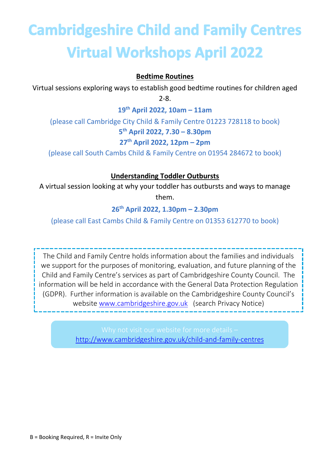# **Cambridgeshire Child and Family Centres Virtual Workshops April 2022**

### **Bedtime Routines**

Virtual sessions exploring ways to establish good bedtime routines for children aged 2-8.

**19th April 2022, 10am – 11am**

(please call Cambridge City Child & Family Centre 01223 728118 to book) **5 th April 2022, 7.30 – 8.30pm 27th April 2022, 12pm – 2pm**

(please call South Cambs Child & Family Centre on 01954 284672 to book)

### **Understanding Toddler Outbursts**

A virtual session looking at why your toddler has outbursts and ways to manage them.

**26th April 2022, 1.30pm – 2.30pm**

(please call East Cambs Child & Family Centre on 01353 612770 to book)

The Child and Family Centre holds information about the families and individuals we support for the purposes of monitoring, evaluation, and future planning of the Child and Family Centre's services as part of Cambridgeshire County Council. The information will be held in accordance with the General Data Protection Regulation (GDPR). Further information is available on the Cambridgeshire County Council's website [www.cambridgeshire.gov.uk](http://www.cambridgeshire.gov.uk/) (search Privacy Notice)

<http://www.cambridgeshire.gov.uk/child-and-family-centres>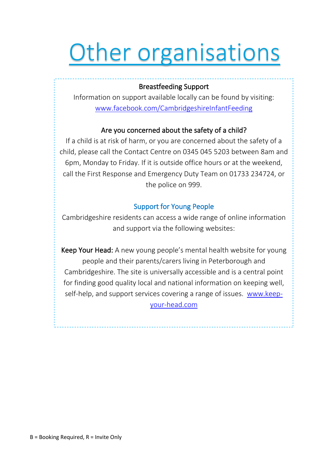# **Other organisations**

### Breastfeeding Support

Information on support available locally can be found by visiting: [www.facebook.com/CambridgeshireInfantFeeding](http://www.facebook.com/CambridgeshireInfantFeeding)

### Are you concerned about the safety of a child?

If a child is at risk of harm, or you are concerned about the safety of a child, please call the Contact Centre on 0345 045 5203 between 8am and 6pm, Monday to Friday. If it is outside office hours or at the weekend, call the First Response and Emergency Duty Team on 01733 234724, or the police on 999.

### Support for Young People

Cambridgeshire residents can access a wide range of online information and support via the following websites:

Keep Your Head: A new young people's mental health website for young people and their parents/carers living in Peterborough and Cambridgeshire. The site is universally accessible and is a central point for finding good quality local and national information on keeping well, self-help, and support services covering a range of issues. [www.keep](http://www.keep-your-head.com/)[your-head.com](http://www.keep-your-head.com/)